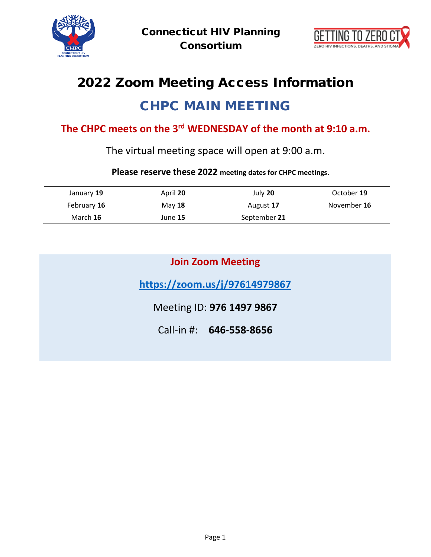



# 2022 Zoom Meeting Access Information CHPC MAIN MEETING

## **The CHPC meets on the 3rd WEDNESDAY of the month at 9:10 a.m.**

The virtual meeting space will open at 9:00 a.m.

#### **Please reserve these 2022 meeting dates for CHPC meetings.**

| January 19  | April 20 | July 20      | October 19  |
|-------------|----------|--------------|-------------|
| February 16 | May 18   | August 17    | November 16 |
| March 16    | June 15  | September 21 |             |

|  | <b>Join Zoom Meeting</b> |
|--|--------------------------|
|  |                          |

**<https://zoom.us/j/97614979867>**

Meeting ID: **976 1497 9867**

Call-in #: **646-558-8656**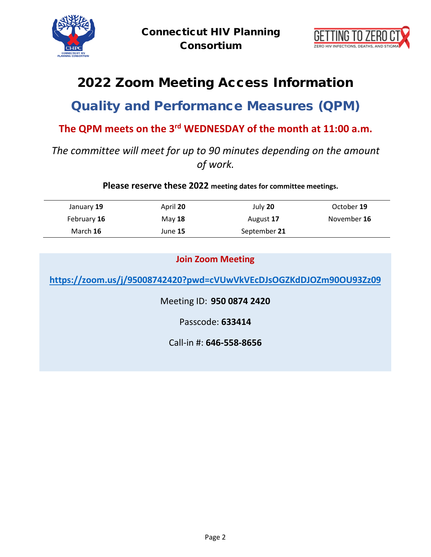



# 2022 Zoom Meeting Access Information

## Quality and Performance Measures (QPM)

#### **The QPM meets on the 3rd WEDNESDAY of the month at 11:00 a.m.**

### *The committee will meet for up to 90 minutes depending on the amount of work.*

**Please reserve these 2022 meeting dates for committee meetings.**

| January 19  | April 20 | July 20      | October 19  |
|-------------|----------|--------------|-------------|
| February 16 | May $18$ | August 17    | November 16 |
| March 16    | June 15  | September 21 |             |

#### **Join Zoom Meeting**

**<https://zoom.us/j/95008742420?pwd=cVUwVkVEcDJsOGZKdDJOZm90OU93Zz09>**

Meeting ID: **950 0874 2420**

Passcode: **633414**

Call-in #: **646-558-8656**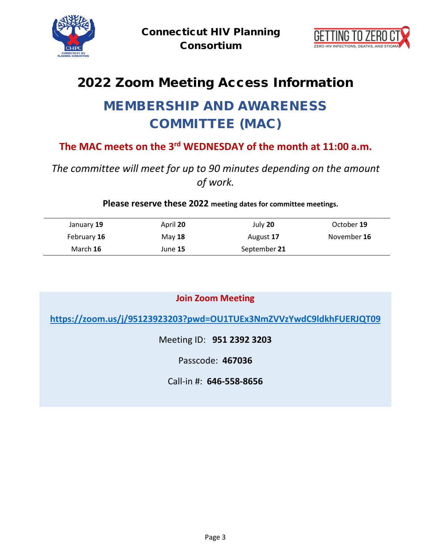



# 2022 Zoom Meeting Access Information

# MEMBERSHIP AND AWARENESS COMMITTEE (MAC)

### **The MAC meets on the 3rd WEDNESDAY of the month at 11:00 a.m.**

## *The committee will meet for up to 90 minutes depending on the amount of work.*

**Please reserve these 2022 meeting dates for committee meetings.**

| January 19  | April 20 | July 20      | October 19  |
|-------------|----------|--------------|-------------|
| February 16 | May $18$ | August 17    | November 16 |
| March 16    | June 15  | September 21 |             |

**Join Zoom Meeting**

**<https://zoom.us/j/95123923203?pwd=OU1TUEx3NmZVVzYwdC9ldkhFUERJQT09>**

Meeting ID: **951 2392 3203**

Passcode: **467036**

Call-in #: **646-558-8656**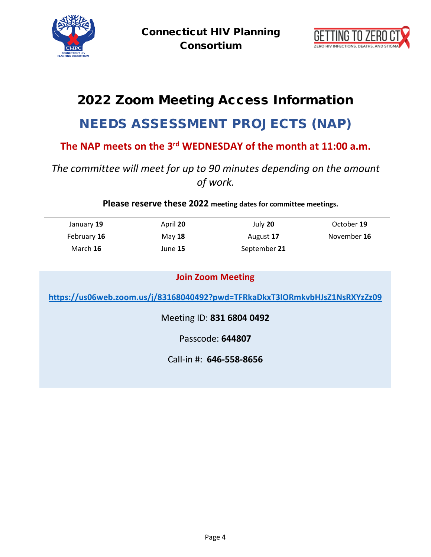



# 2022 Zoom Meeting Access Information NEEDS ASSESSMENT PROJECTS (NAP)

### **The NAP meets on the 3rd WEDNESDAY of the month at 11:00 a.m.**

### *The committee will meet for up to 90 minutes depending on the amount of work.*

**Please reserve these 2022 meeting dates for committee meetings.**

| January 19  | April 20 | July 20      | October 19  |
|-------------|----------|--------------|-------------|
| February 16 | May $18$ | August 17    | November 16 |
| March 16    | June 15  | September 21 |             |

| <b>Join Zoom Meeting</b>                                                   |  |  |  |
|----------------------------------------------------------------------------|--|--|--|
| https://us06web.zoom.us/j/83168040492?pwd=TFRkaDkxT3lORmkvbHJsZ1NsRXYzZz09 |  |  |  |
| Meeting ID: 831 6804 0492                                                  |  |  |  |
| Passcode: 644807                                                           |  |  |  |
| Call-in #: 646-558-8656                                                    |  |  |  |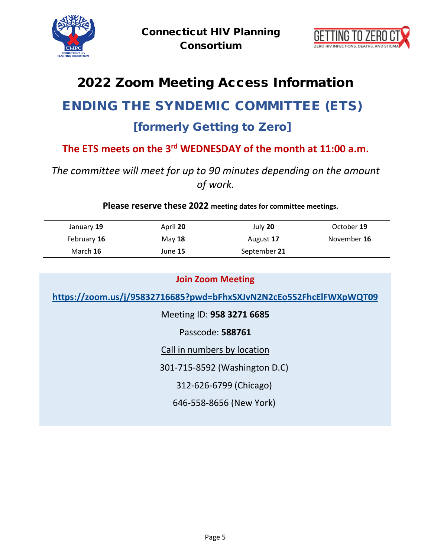



# 2022 Zoom Meeting Access Information

# ENDING THE SYNDEMIC COMMITTEE (ETS)

## [formerly Getting to Zero]

## **The ETS meets on the 3rd WEDNESDAY of the month at 11:00 a.m.**

### *The committee will meet for up to 90 minutes depending on the amount of work.*

**Please reserve these 2022 meeting dates for committee meetings.**

| January 19  | April 20 | July 20      | October 19  |
|-------------|----------|--------------|-------------|
| February 16 | May $18$ | August 17    | November 16 |
| March 16    | June 15  | September 21 |             |

| <b>Join Zoom Meeting</b>                                           |  |  |  |
|--------------------------------------------------------------------|--|--|--|
| https://zoom.us/j/95832716685?pwd=bFhxSXJvN2N2cEo5S2FhcElFWXpWQT09 |  |  |  |
| Meeting ID: 958 3271 6685                                          |  |  |  |
| Passcode: 588761                                                   |  |  |  |
| Call in numbers by location                                        |  |  |  |
| 301-715-8592 (Washington D.C)                                      |  |  |  |
| 312-626-6799 (Chicago)                                             |  |  |  |
| 646-558-8656 (New York)                                            |  |  |  |
|                                                                    |  |  |  |